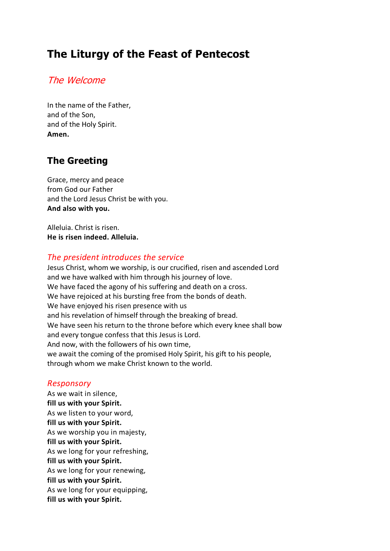# **The Liturgy of the Feast of Pentecost**

# The Welcome

In the name of the Father, and of the Son, and of the Holy Spirit. **Amen.**

# **The Greeting**

Grace, mercy and peace from God our Father and the Lord Jesus Christ be with you. **And also with you.**

Alleluia. Christ is risen. **He is risen indeed. Alleluia.**

### *The president introduces the service*

Jesus Christ, whom we worship, is our crucified, risen and ascended Lord and we have walked with him through his journey of love. We have faced the agony of his suffering and death on a cross. We have rejoiced at his bursting free from the bonds of death. We have enjoyed his risen presence with us and his revelation of himself through the breaking of bread. We have seen his return to the throne before which every knee shall bow and every tongue confess that this Jesus is Lord. And now, with the followers of his own time, we await the coming of the promised Holy Spirit, his gift to his people, through whom we make Christ known to the world.

#### *Responsory*

As we wait in silence, **fill us with your Spirit.** As we listen to your word, **fill us with your Spirit.** As we worship you in majesty, **fill us with your Spirit.** As we long for your refreshing, **fill us with your Spirit.** As we long for your renewing, **fill us with your Spirit.** As we long for your equipping, **fill us with your Spirit.**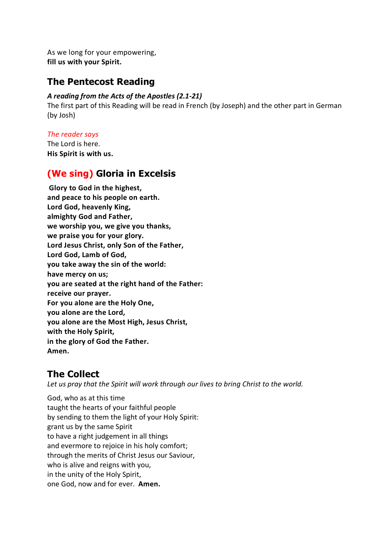As we long for your empowering, **fill us with your Spirit.**

# **The Pentecost Reading**

#### *A reading from the Acts of the Apostles (2.1-21)*

The first part of this Reading will be read in French (by Joseph) and the other part in German (by Josh)

#### *The reader says*

The Lord is here. **His Spirit is with us.**

## **(We sing) Gloria in Excelsis**

**Glory to God in the highest, and peace to his people on earth. Lord God, heavenly King, almighty God and Father, we worship you, we give you thanks, we praise you for your glory. Lord Jesus Christ, only Son of the Father, Lord God, Lamb of God, you take away the sin of the world: have mercy on us; you are seated at the right hand of the Father: receive our prayer. For you alone are the Holy One, you alone are the Lord, you alone are the Most High, Jesus Christ, with the Holy Spirit, in the glory of God the Father. Amen.**

# **The Collect**

*Let us pray that the Spirit will work through our lives to bring Christ to the world.*

God, who as at this time taught the hearts of your faithful people by sending to them the light of your Holy Spirit: grant us by the same Spirit to have a right judgement in all things and evermore to rejoice in his holy comfort; through the merits of Christ Jesus our Saviour, who is alive and reigns with you, in the unity of the Holy Spirit, one God, now and for ever. **Amen.**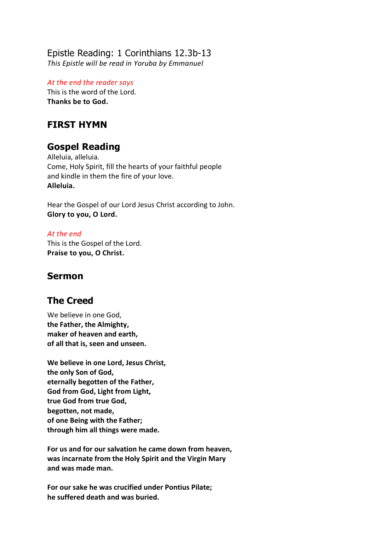## Epistle Reading: 1 Corinthians 12.3b-13

*This Epistle will be read in Yoruba by Emmanuel*

#### *At the end the reader says*

This is the word of the Lord. **Thanks be to God.**

## **FIRST HYMN**

## **Gospel Reading**

Alleluia, alleluia. Come, Holy Spirit, fill the hearts of your faithful people and kindle in them the fire of your love. **Alleluia.**

Hear the Gospel of our Lord Jesus Christ according to John. **Glory to you, O Lord.**

#### *At the end*

This is the Gospel of the Lord. **Praise to you, O Christ.**

### **Sermon**

## **The Creed**

We believe in one God, **the Father, the Almighty, maker of heaven and earth, of all that is, seen and unseen.**

**We believe in one Lord, Jesus Christ, the only Son of God, eternally begotten of the Father, God from God, Light from Light, true God from true God, begotten, not made, of one Being with the Father; through him all things were made.**

**For us and for our salvation he came down from heaven, was incarnate from the Holy Spirit and the Virgin Mary and was made man.**

**For our sake he was crucified under Pontius Pilate; he suffered death and was buried.**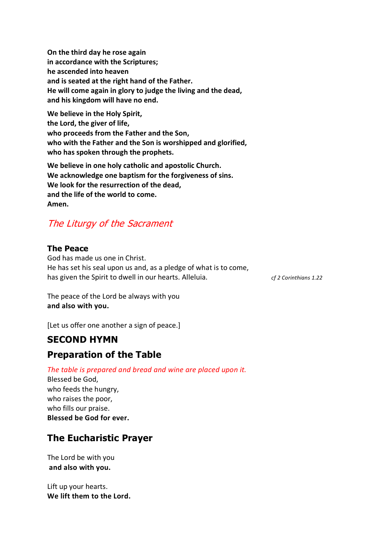**On the third day he rose again in accordance with the Scriptures; he ascended into heaven and is seated at the right hand of the Father. He will come again in glory to judge the living and the dead, and his kingdom will have no end.**

**We believe in the Holy Spirit, the Lord, the giver of life, who proceeds from the Father and the Son, who with the Father and the Son is worshipped and glorified, who has spoken through the prophets.**

**We believe in one holy catholic and apostolic Church. We acknowledge one baptism for the forgiveness of sins. We look for the resurrection of the dead, and the life of the world to come. Amen.**

# The Liturgy of the Sacrament

#### **The Peace**

God has made us one in Christ. He has set his seal upon us and, as a pledge of what is to come, has given the Spirit to dwell in our hearts. Alleluia. *cf 2 Corinthians 1.22*

The peace of the Lord be always with you **and also with you.**

[Let us offer one another a sign of peace.]

# **SECOND HYMN Preparation of the Table**

*The table is prepared and bread and wine are placed upon it.*

Blessed be God, who feeds the hungry, who raises the poor, who fills our praise. **Blessed be God for ever.**

# **The Eucharistic Prayer**

The Lord be with you **and also with you.**

Lift up your hearts. **We lift them to the Lord.**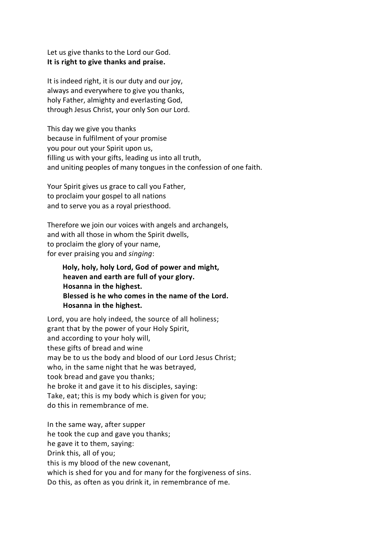Let us give thanks to the Lord our God. **It is right to give thanks and praise.**

It is indeed right, it is our duty and our joy, always and everywhere to give you thanks, holy Father, almighty and everlasting God, through Jesus Christ, your only Son our Lord.

This day we give you thanks because in fulfilment of your promise you pour out your Spirit upon us, filling us with your gifts, leading us into all truth, and uniting peoples of many tongues in the confession of one faith.

Your Spirit gives us grace to call you Father, to proclaim your gospel to all nations and to serve you as a royal priesthood.

Therefore we join our voices with angels and archangels, and with all those in whom the Spirit dwells, to proclaim the glory of your name, for ever praising you and *singing*:

**Holy, holy, holy Lord, God of power and might, heaven and earth are full of your glory. Hosanna in the highest. Blessed is he who comes in the name of the Lord. Hosanna in the highest.**

Lord, you are holy indeed, the source of all holiness; grant that by the power of your Holy Spirit, and according to your holy will, these gifts of bread and wine may be to us the body and blood of our Lord Jesus Christ; who, in the same night that he was betrayed, took bread and gave you thanks; he broke it and gave it to his disciples, saying: Take, eat; this is my body which is given for you; do this in remembrance of me.

In the same way, after supper he took the cup and gave you thanks; he gave it to them, saying: Drink this, all of you; this is my blood of the new covenant, which is shed for you and for many for the forgiveness of sins. Do this, as often as you drink it, in remembrance of me.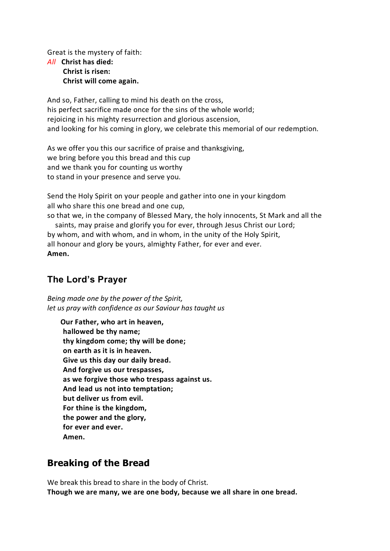Great is the mystery of faith: *All* **Christ has died: Christ is risen: Christ will come again.**

And so, Father, calling to mind his death on the cross, his perfect sacrifice made once for the sins of the whole world; rejoicing in his mighty resurrection and glorious ascension, and looking for his coming in glory, we celebrate this memorial of our redemption.

As we offer you this our sacrifice of praise and thanksgiving, we bring before you this bread and this cup and we thank you for counting us worthy to stand in your presence and serve you.

Send the Holy Spirit on your people and gather into one in your kingdom all who share this one bread and one cup,

so that we, in the company of Blessed Mary, the holy innocents, St Mark and all the saints, may praise and glorify you for ever, through Jesus Christ our Lord; by whom, and with whom, and in whom, in the unity of the Holy Spirit, all honour and glory be yours, almighty Father, for ever and ever. **Amen.**

# **The Lord's Prayer**

*Being made one by the power of the Spirit,* let us pray with confidence as our Saviour has taught us

 **Our Father, who art in heaven, hallowed be thy name; thy kingdom come; thy will be done; on earth as it is in heaven. Give us this day our daily bread. And forgive us our trespasses, as we forgive those who trespass against us. And lead us not into temptation; but deliver us from evil. For thine is the kingdom, the power and the glory, for ever and ever. Amen.**

# **Breaking of the Bread**

We break this bread to share in the body of Christ. **Though we are many, we are one body, because we all share in one bread.**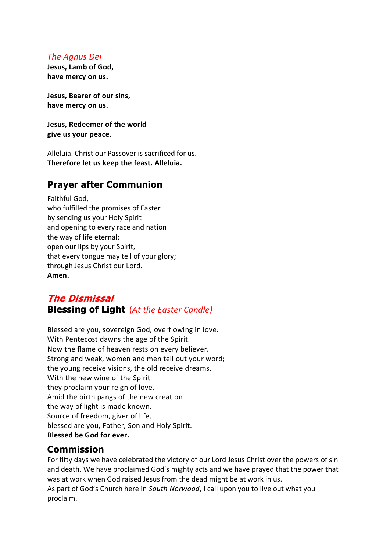### *The Agnus Dei*

**Jesus, Lamb of God, have mercy on us.**

**Jesus, Bearer of our sins, have mercy on us.**

**Jesus, Redeemer of the world give us your peace.**

Alleluia. Christ our Passover is sacrificed for us. **Therefore let us keep the feast. Alleluia.**

# **Prayer after Communion**

Faithful God, who fulfilled the promises of Easter by sending us your Holy Spirit and opening to every race and nation the way of life eternal: open our lips by your Spirit, that every tongue may tell of your glory; through Jesus Christ our Lord. **Amen.**

# **The Dismissal Blessing of Light** (*At the Easter Candle)*

Blessed are you, sovereign God, overflowing in love. With Pentecost dawns the age of the Spirit. Now the flame of heaven rests on every believer. Strong and weak, women and men tell out your word; the young receive visions, the old receive dreams. With the new wine of the Spirit they proclaim your reign of love. Amid the birth pangs of the new creation the way of light is made known. Source of freedom, giver of life, blessed are you, Father, Son and Holy Spirit. **Blessed be God for ever.**

## **Commission**

For fifty days we have celebrated the victory of our Lord Jesus Christ over the powers of sin and death. We have proclaimed God's mighty acts and we have prayed that the power that was at work when God raised Jesus from the dead might be at work in us. As part of God's Church here in *South Norwood*, I call upon you to live out what you proclaim.